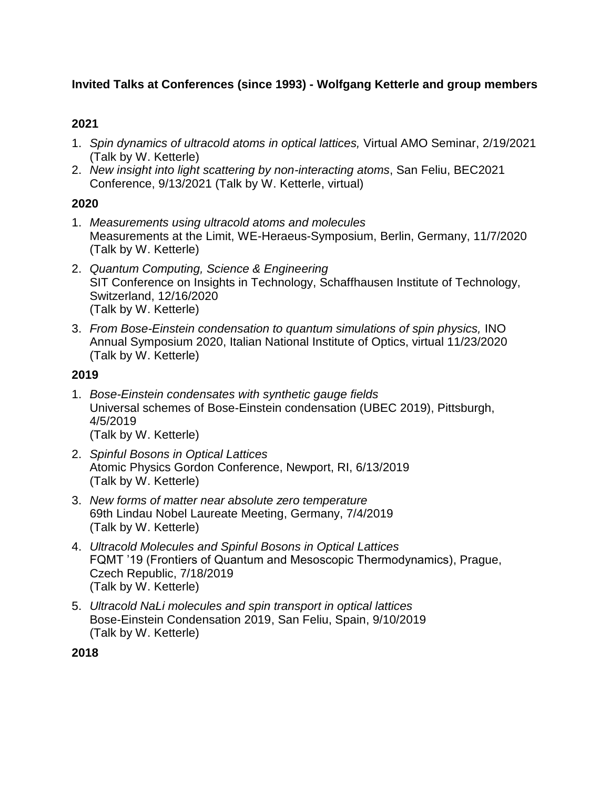## **Invited Talks at Conferences (since 1993) - Wolfgang Ketterle and group members**

## **2021**

- 1. *Spin dynamics of ultracold atoms in optical lattices,* Virtual AMO Seminar, 2/19/2021 (Talk by W. Ketterle)
- 2. *New insight into light scattering by non-interacting atoms*, San Feliu, BEC2021 Conference, 9/13/2021 (Talk by W. Ketterle, virtual)

## **2020**

- 1. *Measurements using ultracold atoms and molecules* Measurements at the Limit, WE-Heraeus-Symposium, Berlin, Germany, 11/7/2020 (Talk by W. Ketterle)
- 2. *Quantum Computing, Science & Engineering* SIT Conference on Insights in Technology, Schaffhausen Institute of Technology, Switzerland, 12/16/2020 (Talk by W. Ketterle)
- 3. *From Bose-Einstein condensation to quantum simulations of spin physics,* INO Annual Symposium 2020, Italian National Institute of Optics, virtual 11/23/2020 (Talk by W. Ketterle)

## **2019**

- 1. *Bose-Einstein condensates with synthetic gauge fields* Universal schemes of Bose-Einstein condensation (UBEC 2019), Pittsburgh, 4/5/2019 (Talk by W. Ketterle)
- 2. *Spinful Bosons in Optical Lattices* Atomic Physics Gordon Conference, Newport, RI, 6/13/2019 (Talk by W. Ketterle)
- 3. *New forms of matter near absolute zero temperature* 69th Lindau Nobel Laureate Meeting, Germany, 7/4/2019 (Talk by W. Ketterle)
- 4. *Ultracold Molecules and Spinful Bosons in Optical Lattices* FQMT '19 (Frontiers of Quantum and Mesoscopic Thermodynamics), Prague, Czech Republic, 7/18/2019 (Talk by W. Ketterle)
- 5. *Ultracold NaLi molecules and spin transport in optical lattices* Bose-Einstein Condensation 2019, San Feliu, Spain, 9/10/2019 (Talk by W. Ketterle)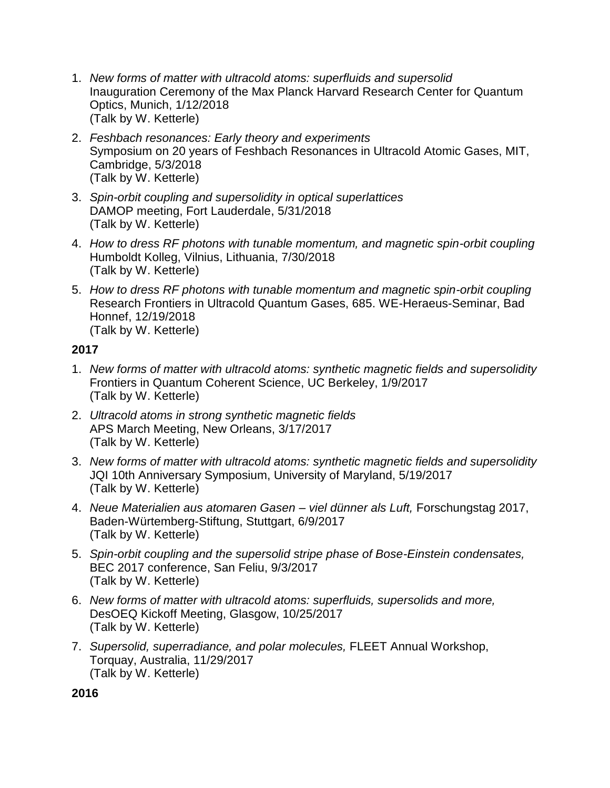- 1. *New forms of matter with ultracold atoms: superfluids and supersolid* Inauguration Ceremony of the Max Planck Harvard Research Center for Quantum Optics, Munich, 1/12/2018 (Talk by W. Ketterle)
- 2. *Feshbach resonances: Early theory and experiments* Symposium on 20 years of Feshbach Resonances in Ultracold Atomic Gases, MIT, Cambridge, 5/3/2018 (Talk by W. Ketterle)
- 3. *Spin-orbit coupling and supersolidity in optical superlattices* DAMOP meeting, Fort Lauderdale, 5/31/2018 (Talk by W. Ketterle)
- 4. *How to dress RF photons with tunable momentum, and magnetic spin-orbit coupling* Humboldt Kolleg, Vilnius, Lithuania, 7/30/2018 (Talk by W. Ketterle)
- 5. *How to dress RF photons with tunable momentum and magnetic spin-orbit coupling* Research Frontiers in Ultracold Quantum Gases, 685. WE-Heraeus-Seminar, Bad Honnef, 12/19/2018 (Talk by W. Ketterle)

- 1. *New forms of matter with ultracold atoms: synthetic magnetic fields and supersolidity* Frontiers in Quantum Coherent Science, UC Berkeley, 1/9/2017 (Talk by W. Ketterle)
- 2. *Ultracold atoms in strong synthetic magnetic fields* APS March Meeting, New Orleans, 3/17/2017 (Talk by W. Ketterle)
- 3. *New forms of matter with ultracold atoms: synthetic magnetic fields and supersolidity* JQI 10th Anniversary Symposium, University of Maryland, 5/19/2017 (Talk by W. Ketterle)
- 4. *Neue Materialien aus atomaren Gasen – viel dünner als Luft,* Forschungstag 2017, Baden-Würtemberg-Stiftung, Stuttgart, 6/9/2017 (Talk by W. Ketterle)
- 5. *Spin-orbit coupling and the supersolid stripe phase of Bose-Einstein condensates,* BEC 2017 conference, San Feliu, 9/3/2017 (Talk by W. Ketterle)
- 6. *New forms of matter with ultracold atoms: superfluids, supersolids and more,* DesOEQ Kickoff Meeting, Glasgow, 10/25/2017 (Talk by W. Ketterle)
- 7. *Supersolid, superradiance, and polar molecules,* FLEET Annual Workshop, Torquay, Australia, 11/29/2017 (Talk by W. Ketterle)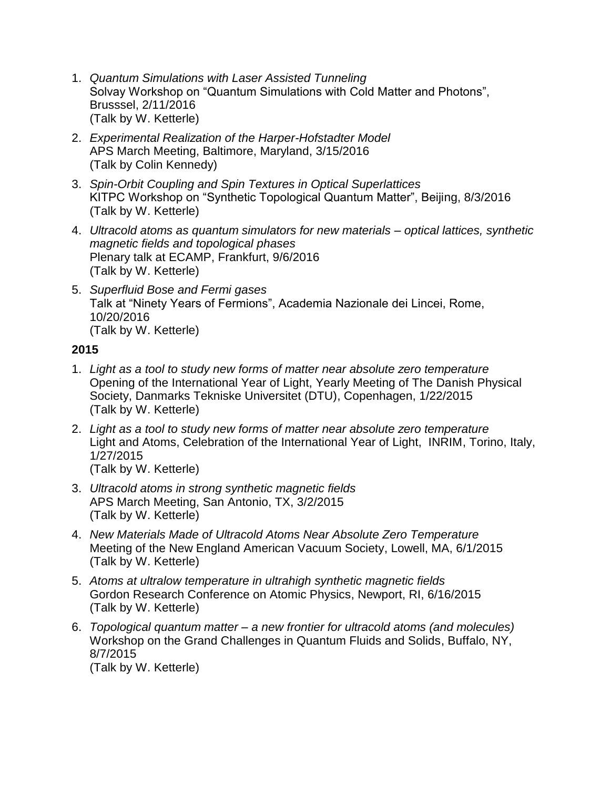- 1. *Quantum Simulations with Laser Assisted Tunneling* Solvay Workshop on "Quantum Simulations with Cold Matter and Photons", Brusssel, 2/11/2016 (Talk by W. Ketterle)
- 2. *Experimental Realization of the Harper-Hofstadter Model* APS March Meeting, Baltimore, Maryland, 3/15/2016 (Talk by Colin Kennedy)
- 3. *Spin-Orbit Coupling and Spin Textures in Optical Superlattices* KITPC Workshop on "Synthetic Topological Quantum Matter", Beijing, 8/3/2016 (Talk by W. Ketterle)
- 4. *Ultracold atoms as quantum simulators for new materials – optical lattices, synthetic magnetic fields and topological phases* Plenary talk at ECAMP, Frankfurt, 9/6/2016 (Talk by W. Ketterle)
- 5. *Superfluid Bose and Fermi gases* Talk at "Ninety Years of Fermions", Academia Nazionale dei Lincei, Rome, 10/20/2016 (Talk by W. Ketterle)

- 1. *Light as a tool to study new forms of matter near absolute zero temperature* Opening of the International Year of Light, Yearly Meeting of The Danish Physical Society, Danmarks Tekniske Universitet (DTU), Copenhagen, 1/22/2015 (Talk by W. Ketterle)
- 2. *Light as a tool to study new forms of matter near absolute zero temperature*  Light and Atoms, Celebration of the International Year of Light, INRIM, Torino, Italy, 1/27/2015 (Talk by W. Ketterle)
- 3. *Ultracold atoms in strong synthetic magnetic fields*  APS March Meeting, San Antonio, TX, 3/2/2015 (Talk by W. Ketterle)
- 4. *New Materials Made of Ultracold Atoms Near Absolute Zero Temperature* Meeting of the New England American Vacuum Society, Lowell, MA, 6/1/2015 (Talk by W. Ketterle)
- 5. *Atoms at ultralow temperature in ultrahigh synthetic magnetic fields* Gordon Research Conference on Atomic Physics, Newport, RI, 6/16/2015 (Talk by W. Ketterle)
- 6. *Topological quantum matter – a new frontier for ultracold atoms (and molecules)* Workshop on the Grand Challenges in Quantum Fluids and Solids, Buffalo, NY, 8/7/2015 (Talk by W. Ketterle)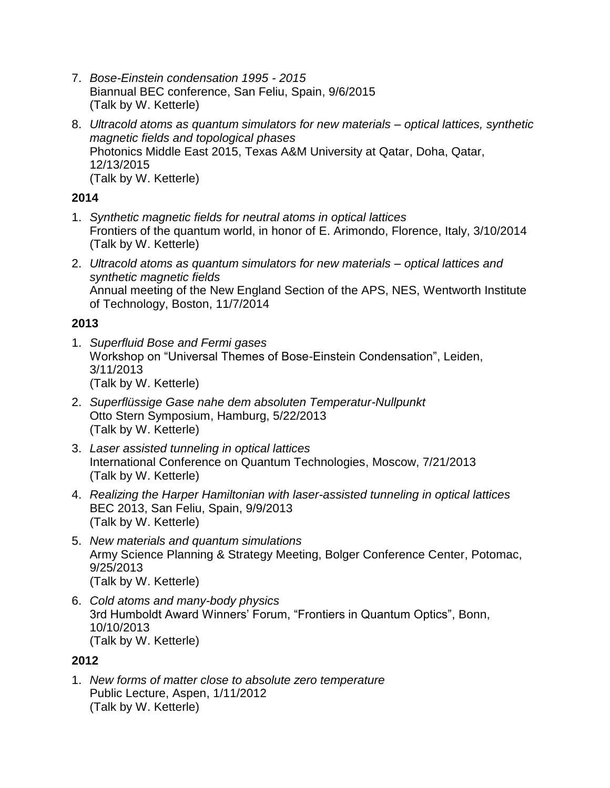- 7. *Bose-Einstein condensation 1995 - 2015* Biannual BEC conference, San Feliu, Spain, 9/6/2015 (Talk by W. Ketterle)
- 8. *Ultracold atoms as quantum simulators for new materials – optical lattices, synthetic magnetic fields and topological phases* Photonics Middle East 2015, Texas A&M University at Qatar, Doha, Qatar, 12/13/2015 (Talk by W. Ketterle)

- 1. *Synthetic magnetic fields for neutral atoms in optical lattices* Frontiers of the quantum world, in honor of E. Arimondo, Florence, Italy, 3/10/2014 (Talk by W. Ketterle)
- 2. *Ultracold atoms as quantum simulators for new materials – optical lattices and synthetic magnetic fields* Annual meeting of the New England Section of the APS, NES, Wentworth Institute of Technology, Boston, 11/7/2014

## **2013**

- 1. *Superfluid Bose and Fermi gases* Workshop on "Universal Themes of Bose-Einstein Condensation", Leiden, 3/11/2013 (Talk by W. Ketterle)
- 2. *Superflüssige Gase nahe dem absoluten Temperatur-Nullpunkt* Otto Stern Symposium, Hamburg, 5/22/2013 (Talk by W. Ketterle)
- 3. *Laser assisted tunneling in optical lattices* International Conference on Quantum Technologies, Moscow, 7/21/2013 (Talk by W. Ketterle)
- 4. *Realizing the Harper Hamiltonian with laser-assisted tunneling in optical lattices* BEC 2013, San Feliu, Spain, 9/9/2013 (Talk by W. Ketterle)
- 5. *New materials and quantum simulations* Army Science Planning & Strategy Meeting, Bolger Conference Center, Potomac, 9/25/2013 (Talk by W. Ketterle)
- 6. *Cold atoms and many-body physics* 3rd Humboldt Award Winners' Forum, "Frontiers in Quantum Optics", Bonn, 10/10/2013 (Talk by W. Ketterle)

#### **2012**

1. *New forms of matter close to absolute zero temperature* Public Lecture, Aspen, 1/11/2012 (Talk by W. Ketterle)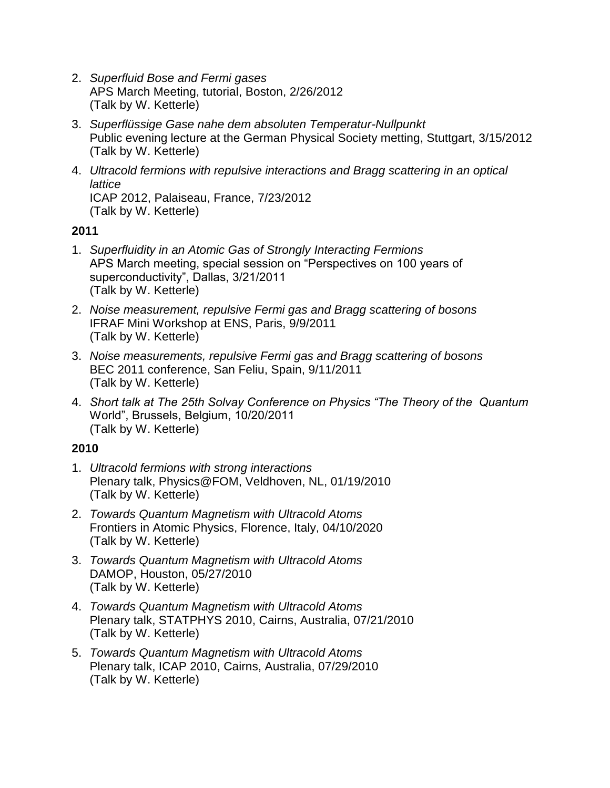- 2. *Superfluid Bose and Fermi gases*  APS March Meeting, tutorial, Boston, 2/26/2012 (Talk by W. Ketterle)
- 3. *Superflüssige Gase nahe dem absoluten Temperatur-Nullpunkt* Public evening lecture at the German Physical Society metting, Stuttgart, 3/15/2012 (Talk by W. Ketterle)
- 4. *Ultracold fermions with repulsive interactions and Bragg scattering in an optical lattice* ICAP 2012, Palaiseau, France, 7/23/2012 (Talk by W. Ketterle)

- 1. *Superfluidity in an Atomic Gas of Strongly Interacting Fermions*  APS March meeting, special session on "Perspectives on 100 years of superconductivity", Dallas, 3/21/2011 (Talk by W. Ketterle)
- 2. *Noise measurement, repulsive Fermi gas and Bragg scattering of bosons*  IFRAF Mini Workshop at ENS, Paris, 9/9/2011 (Talk by W. Ketterle)
- 3. *Noise measurements, repulsive Fermi gas and Bragg scattering of bosons*  BEC 2011 conference, San Feliu, Spain, 9/11/2011 (Talk by W. Ketterle)
- 4. *Short talk at The 25th Solvay Conference on Physics "The Theory of the Quantum*  World", Brussels, Belgium, 10/20/2011 (Talk by W. Ketterle)

- 1. *Ultracold fermions with strong interactions* Plenary talk, Physics@FOM, Veldhoven, NL, 01/19/2010 (Talk by W. Ketterle)
- 2. *Towards Quantum Magnetism with Ultracold Atoms* Frontiers in Atomic Physics, Florence, Italy, 04/10/2020 (Talk by W. Ketterle)
- 3. *Towards Quantum Magnetism with Ultracold Atoms* DAMOP, Houston, 05/27/2010 (Talk by W. Ketterle)
- 4. *Towards Quantum Magnetism with Ultracold Atoms* Plenary talk, STATPHYS 2010, Cairns, Australia, 07/21/2010 (Talk by W. Ketterle)
- 5. *Towards Quantum Magnetism with Ultracold Atoms* Plenary talk, ICAP 2010, Cairns, Australia, 07/29/2010 (Talk by W. Ketterle)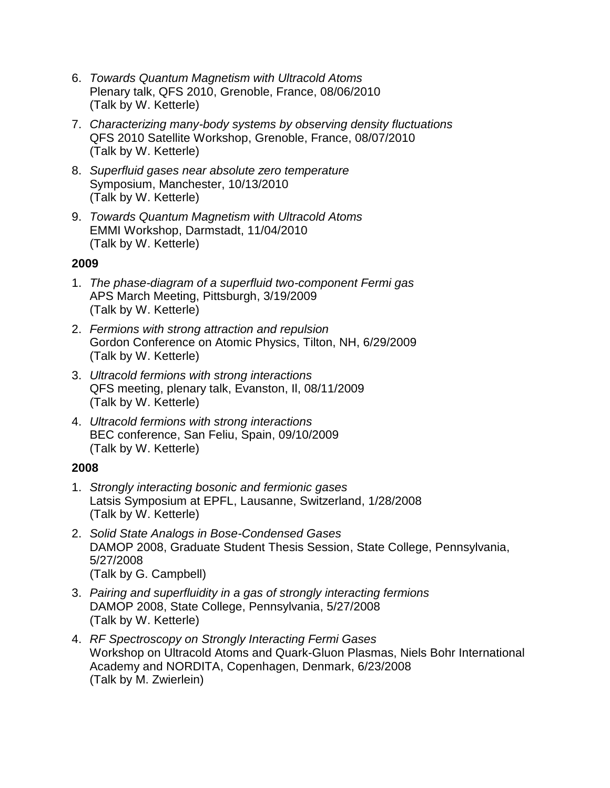- 6. *Towards Quantum Magnetism with Ultracold Atoms* Plenary talk, QFS 2010, Grenoble, France, 08/06/2010 (Talk by W. Ketterle)
- 7. *Characterizing many-body systems by observing density fluctuations* QFS 2010 Satellite Workshop, Grenoble, France, 08/07/2010 (Talk by W. Ketterle)
- 8. *Superfluid gases near absolute zero temperature* Symposium, Manchester, 10/13/2010 (Talk by W. Ketterle)
- 9. *Towards Quantum Magnetism with Ultracold Atoms* EMMI Workshop, Darmstadt, 11/04/2010 (Talk by W. Ketterle)

- 1. *The phase-diagram of a superfluid two-component Fermi gas* APS March Meeting, Pittsburgh, 3/19/2009 (Talk by W. Ketterle)
- 2. *Fermions with strong attraction and repulsion* Gordon Conference on Atomic Physics, Tilton, NH, 6/29/2009 (Talk by W. Ketterle)
- 3. *Ultracold fermions with strong interactions* QFS meeting, plenary talk, Evanston, Il, 08/11/2009 (Talk by W. Ketterle)
- 4. *Ultracold fermions with strong interactions* BEC conference, San Feliu, Spain, 09/10/2009 (Talk by W. Ketterle)

- 1. *Strongly interacting bosonic and fermionic gases* Latsis Symposium at EPFL, Lausanne, Switzerland, 1/28/2008 (Talk by W. Ketterle)
- 2. *Solid State Analogs in Bose-Condensed Gases* DAMOP 2008, Graduate Student Thesis Session, State College, Pennsylvania, 5/27/2008 (Talk by G. Campbell)
- 3. *Pairing and superfluidity in a gas of strongly interacting fermions* DAMOP 2008, State College, Pennsylvania, 5/27/2008 (Talk by W. Ketterle)
- 4. *RF Spectroscopy on Strongly Interacting Fermi Gases* Workshop on Ultracold Atoms and Quark-Gluon Plasmas, Niels Bohr International Academy and NORDITA, Copenhagen, Denmark, 6/23/2008 (Talk by M. Zwierlein)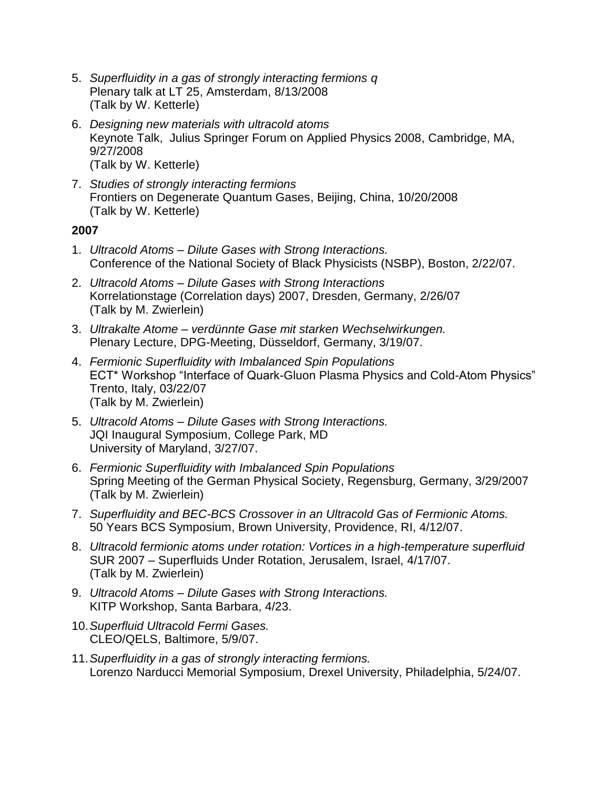- 5. *Superfluidity in a gas of strongly interacting fermions q* Plenary talk at LT 25, Amsterdam, 8/13/2008 (Talk by W. Ketterle)
- 6. *Designing new materials with ultracold atoms* Keynote Talk, Julius Springer Forum on Applied Physics 2008, Cambridge, MA, 9/27/2008 (Talk by W. Ketterle)
- 7. *Studies of strongly interacting fermions*  Frontiers on Degenerate Quantum Gases, Beijing, China, 10/20/2008 (Talk by W. Ketterle)

- 1. *Ultracold Atoms – Dilute Gases with Strong Interactions.* Conference of the National Society of Black Physicists (NSBP), Boston, 2/22/07.
- 2. *Ultracold Atoms – Dilute Gases with Strong Interactions* Korrelationstage (Correlation days) 2007, Dresden, Germany, 2/26/07 (Talk by M. Zwierlein)
- 3. *Ultrakalte Atome – verdünnte Gase mit starken Wechselwirkungen.* Plenary Lecture, DPG-Meeting, Düsseldorf, Germany, 3/19/07.
- 4. *Fermionic Superfluidity with Imbalanced Spin Populations* ECT\* Workshop "Interface of Quark-Gluon Plasma Physics and Cold-Atom Physics" Trento, Italy, 03/22/07 (Talk by M. Zwierlein)
- 5. *Ultracold Atoms – Dilute Gases with Strong Interactions.* JQI Inaugural Symposium, College Park, MD University of Maryland, 3/27/07.
- 6. *Fermionic Superfluidity with Imbalanced Spin Populations* Spring Meeting of the German Physical Society, Regensburg, Germany, 3/29/2007 (Talk by M. Zwierlein)
- 7. *Superfluidity and BEC-BCS Crossover in an Ultracold Gas of Fermionic Atoms.* 50 Years BCS Symposium, Brown University, Providence, RI, 4/12/07.
- 8. *Ultracold fermionic atoms under rotation: Vortices in a high-temperature superfluid* SUR 2007 – Superfluids Under Rotation, Jerusalem, Israel, 4/17/07. (Talk by M. Zwierlein)
- 9. *Ultracold Atoms – Dilute Gases with Strong Interactions.* KITP Workshop, Santa Barbara, 4/23.
- 10.*Superfluid Ultracold Fermi Gases.* CLEO/QELS, Baltimore, 5/9/07.
- 11.*Superfluidity in a gas of strongly interacting fermions.* Lorenzo Narducci Memorial Symposium, Drexel University, Philadelphia, 5/24/07.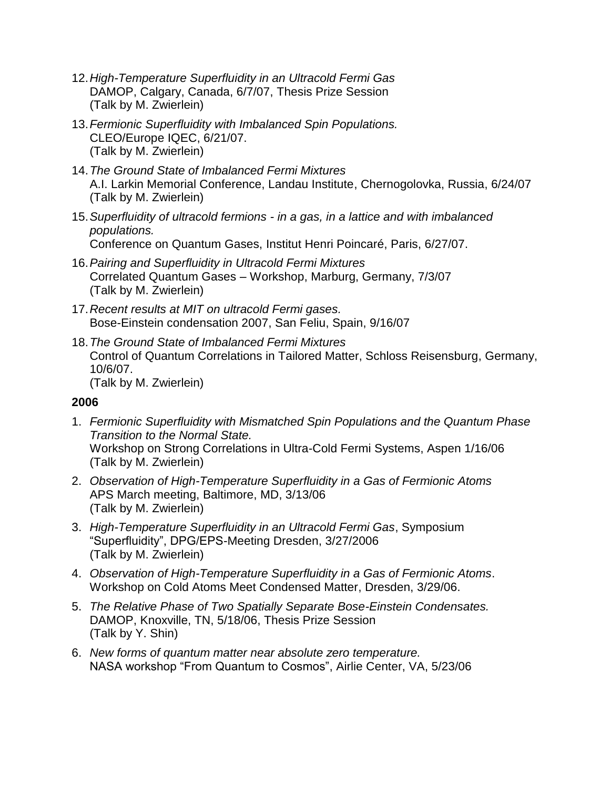- 12.*High-Temperature Superfluidity in an Ultracold Fermi Gas* DAMOP, Calgary, Canada, 6/7/07, Thesis Prize Session (Talk by M. Zwierlein)
- 13.*Fermionic Superfluidity with Imbalanced Spin Populations.* CLEO/Europe IQEC, 6/21/07. (Talk by M. Zwierlein)
- 14.*The Ground State of Imbalanced Fermi Mixtures* A.I. Larkin Memorial Conference, Landau Institute, Chernogolovka, Russia, 6/24/07 (Talk by M. Zwierlein)
- 15.*Superfluidity of ultracold fermions - in a gas, in a lattice and with imbalanced populations.* Conference on Quantum Gases, Institut Henri Poincaré, Paris, 6/27/07.
- 16.*Pairing and Superfluidity in Ultracold Fermi Mixtures* Correlated Quantum Gases – Workshop, Marburg, Germany, 7/3/07 (Talk by M. Zwierlein)
- 17.*Recent results at MIT on ultracold Fermi gases.* Bose-Einstein condensation 2007, San Feliu, Spain, 9/16/07
- 18.*The Ground State of Imbalanced Fermi Mixtures* Control of Quantum Correlations in Tailored Matter, Schloss Reisensburg, Germany, 10/6/07. (Talk by M. Zwierlein)

- 1. *Fermionic Superfluidity with Mismatched Spin Populations and the Quantum Phase Transition to the Normal State.* Workshop on Strong Correlations in Ultra-Cold Fermi Systems, Aspen 1/16/06 (Talk by M. Zwierlein)
- 2. *Observation of High-Temperature Superfluidity in a Gas of Fermionic Atoms* APS March meeting, Baltimore, MD, 3/13/06 (Talk by M. Zwierlein)
- 3. *High-Temperature Superfluidity in an Ultracold Fermi Gas*, Symposium "Superfluidity", DPG/EPS-Meeting Dresden, 3/27/2006 (Talk by M. Zwierlein)
- 4. *Observation of High-Temperature Superfluidity in a Gas of Fermionic Atoms*. Workshop on Cold Atoms Meet Condensed Matter, Dresden, 3/29/06.
- 5. *The Relative Phase of Two Spatially Separate Bose-Einstein Condensates.* DAMOP, Knoxville, TN, 5/18/06, Thesis Prize Session (Talk by Y. Shin)
- 6. *New forms of quantum matter near absolute zero temperature.* NASA workshop "From Quantum to Cosmos", Airlie Center, VA, 5/23/06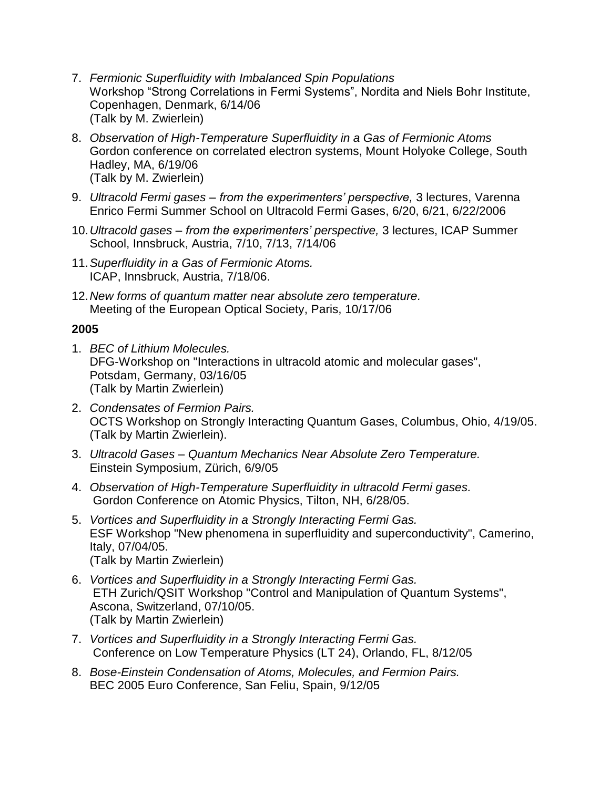- 7. *Fermionic Superfluidity with Imbalanced Spin Populations* Workshop "Strong Correlations in Fermi Systems", Nordita and Niels Bohr Institute, Copenhagen, Denmark, 6/14/06 (Talk by M. Zwierlein)
- 8. *Observation of High-Temperature Superfluidity in a Gas of Fermionic Atoms* Gordon conference on correlated electron systems, Mount Holyoke College, South Hadley, MA, 6/19/06 (Talk by M. Zwierlein)
- 9. *Ultracold Fermi gases – from the experimenters' perspective,* 3 lectures, Varenna Enrico Fermi Summer School on Ultracold Fermi Gases, 6/20, 6/21, 6/22/2006
- 10.*Ultracold gases – from the experimenters' perspective,* 3 lectures, ICAP Summer School, Innsbruck, Austria, 7/10, 7/13, 7/14/06
- 11.*Superfluidity in a Gas of Fermionic Atoms.* ICAP, Innsbruck, Austria, 7/18/06.
- 12.*New forms of quantum matter near absolute zero temperature.* Meeting of the European Optical Society, Paris, 10/17/06

- 1. *BEC of Lithium Molecules.* DFG-Workshop on "Interactions in ultracold atomic and molecular gases", Potsdam, Germany, 03/16/05 (Talk by Martin Zwierlein)
- 2. *Condensates of Fermion Pairs.* OCTS Workshop on Strongly Interacting Quantum Gases, Columbus, Ohio, 4/19/05. (Talk by Martin Zwierlein).
- 3. *Ultracold Gases – Quantum Mechanics Near Absolute Zero Temperature.* Einstein Symposium, Zürich, 6/9/05
- 4. *Observation of High-Temperature Superfluidity in ultracold Fermi gases.* Gordon Conference on Atomic Physics, Tilton, NH, 6/28/05.
- 5. *Vortices and Superfluidity in a Strongly Interacting Fermi Gas.* ESF Workshop "New phenomena in superfluidity and superconductivity", Camerino, Italy, 07/04/05. (Talk by Martin Zwierlein)
- 6. *Vortices and Superfluidity in a Strongly Interacting Fermi Gas.* ETH Zurich/QSIT Workshop "Control and Manipulation of Quantum Systems", Ascona, Switzerland, 07/10/05. (Talk by Martin Zwierlein)
- 7. *Vortices and Superfluidity in a Strongly Interacting Fermi Gas.* Conference on Low Temperature Physics (LT 24), Orlando, FL, 8/12/05
- 8. *Bose-Einstein Condensation of Atoms, Molecules, and Fermion Pairs.* BEC 2005 Euro Conference, San Feliu, Spain, 9/12/05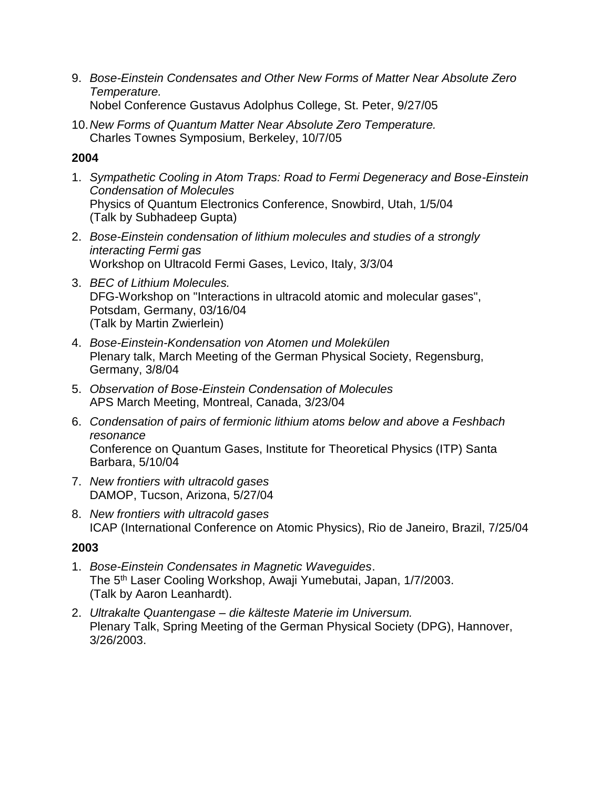- 9. *Bose-Einstein Condensates and Other New Forms of Matter Near Absolute Zero Temperature.* Nobel Conference Gustavus Adolphus College, St. Peter, 9/27/05
- 10.*New Forms of Quantum Matter Near Absolute Zero Temperature.* Charles Townes Symposium, Berkeley, 10/7/05

- 1. *Sympathetic Cooling in Atom Traps: Road to Fermi Degeneracy and Bose-Einstein Condensation of Molecules* Physics of Quantum Electronics Conference, Snowbird, Utah, 1/5/04 (Talk by Subhadeep Gupta)
- 2. *Bose-Einstein condensation of lithium molecules and studies of a strongly interacting Fermi gas* Workshop on Ultracold Fermi Gases, Levico, Italy, 3/3/04
- 3. *BEC of Lithium Molecules.* DFG-Workshop on "Interactions in ultracold atomic and molecular gases", Potsdam, Germany, 03/16/04 (Talk by Martin Zwierlein)
- 4. *Bose-Einstein-Kondensation von Atomen und Molekülen* Plenary talk, March Meeting of the German Physical Society, Regensburg, Germany, 3/8/04
- 5. *Observation of Bose-Einstein Condensation of Molecules* APS March Meeting, Montreal, Canada, 3/23/04
- 6. *Condensation of pairs of fermionic lithium atoms below and above a Feshbach resonance* Conference on Quantum Gases, Institute for Theoretical Physics (ITP) Santa Barbara, 5/10/04
- 7. *New frontiers with ultracold gases* DAMOP, Tucson, Arizona, 5/27/04
- 8. *New frontiers with ultracold gases* ICAP (International Conference on Atomic Physics), Rio de Janeiro, Brazil, 7/25/04

- 1. *Bose-Einstein Condensates in Magnetic Waveguides*. The 5th Laser Cooling Workshop, Awaji Yumebutai, Japan, 1/7/2003. (Talk by Aaron Leanhardt).
- 2. *Ultrakalte Quantengase – die kälteste Materie im Universum.* Plenary Talk, Spring Meeting of the German Physical Society (DPG), Hannover, 3/26/2003.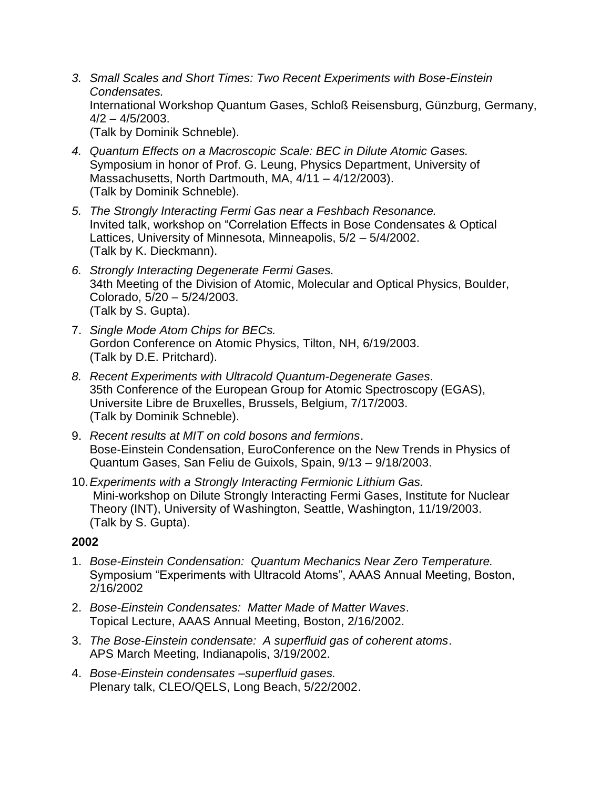- *3. Small Scales and Short Times: Two Recent Experiments with Bose-Einstein Condensates.* International Workshop Quantum Gases, Schloß Reisensburg, Günzburg, Germany, 4/2 – 4/5/2003. (Talk by Dominik Schneble).
- *4. Quantum Effects on a Macroscopic Scale: BEC in Dilute Atomic Gases.* Symposium in honor of Prof. G. Leung, Physics Department, University of Massachusetts, North Dartmouth, MA, 4/11 – 4/12/2003). (Talk by Dominik Schneble).
- *5. The Strongly Interacting Fermi Gas near a Feshbach Resonance.* Invited talk, workshop on "Correlation Effects in Bose Condensates & Optical Lattices, University of Minnesota, Minneapolis, 5/2 – 5/4/2002. (Talk by K. Dieckmann).
- *6. Strongly Interacting Degenerate Fermi Gases.* 34th Meeting of the Division of Atomic, Molecular and Optical Physics, Boulder, Colorado, 5/20 – 5/24/2003. (Talk by S. Gupta).
- 7. *Single Mode Atom Chips for BECs.* Gordon Conference on Atomic Physics, Tilton, NH, 6/19/2003. (Talk by D.E. Pritchard).
- *8. Recent Experiments with Ultracold Quantum-Degenerate Gases*. 35th Conference of the European Group for Atomic Spectroscopy (EGAS), Universite Libre de Bruxelles, Brussels, Belgium, 7/17/2003. (Talk by Dominik Schneble).
- 9. *Recent results at MIT on cold bosons and fermions*. Bose-Einstein Condensation, EuroConference on the New Trends in Physics of Quantum Gases, San Feliu de Guixols, Spain, 9/13 – 9/18/2003.
- 10.*Experiments with a Strongly Interacting Fermionic Lithium Gas.* Mini-workshop on Dilute Strongly Interacting Fermi Gases, Institute for Nuclear Theory (INT), University of Washington, Seattle, Washington, 11/19/2003. (Talk by S. Gupta).

- 1. *Bose-Einstein Condensation: Quantum Mechanics Near Zero Temperature.* Symposium "Experiments with Ultracold Atoms", AAAS Annual Meeting, Boston, 2/16/2002
- 2. *Bose-Einstein Condensates: Matter Made of Matter Waves*. Topical Lecture, AAAS Annual Meeting, Boston, 2/16/2002.
- 3. *The Bose-Einstein condensate: A superfluid gas of coherent atoms*. APS March Meeting, Indianapolis, 3/19/2002.
- 4. *Bose-Einstein condensates –superfluid gases.* Plenary talk, CLEO/QELS, Long Beach, 5/22/2002.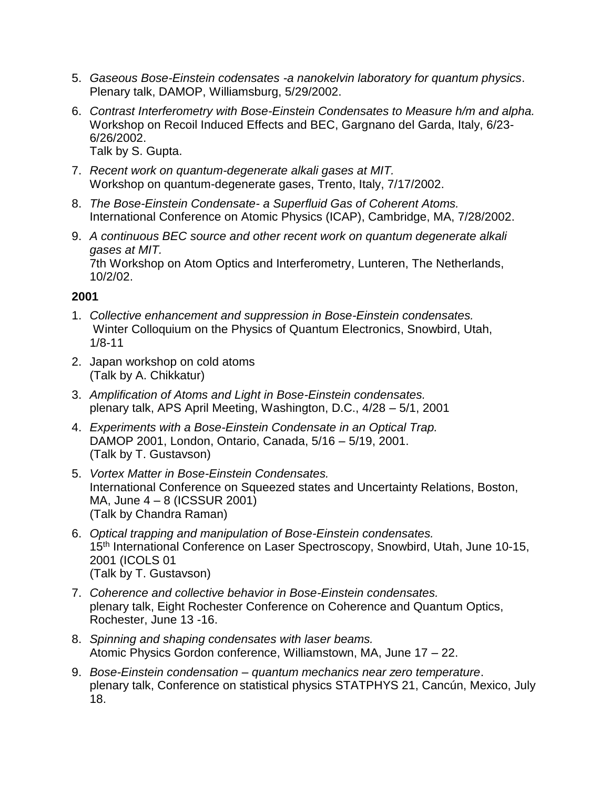- 5. *Gaseous Bose-Einstein codensates -a nanokelvin laboratory for quantum physics*. Plenary talk, DAMOP, Williamsburg, 5/29/2002.
- 6. *Contrast Interferometry with Bose-Einstein Condensates to Measure h/m and alpha.* Workshop on Recoil Induced Effects and BEC, Gargnano del Garda, Italy, 6/23- 6/26/2002. Talk by S. Gupta.
- 7. *Recent work on quantum-degenerate alkali gases at MIT.* Workshop on quantum-degenerate gases, Trento, Italy, 7/17/2002.
- 8. *The Bose-Einstein Condensate- a Superfluid Gas of Coherent Atoms.* International Conference on Atomic Physics (ICAP), Cambridge, MA, 7/28/2002.
- 9. *A continuous BEC source and other recent work on quantum degenerate alkali gases at MIT.* 7th Workshop on Atom Optics and Interferometry, Lunteren, The Netherlands, 10/2/02.

- 1. *Collective enhancement and suppression in Bose-Einstein condensates.* Winter Colloquium on the Physics of Quantum Electronics, Snowbird, Utah, 1/8-11
- 2. Japan workshop on cold atoms (Talk by A. Chikkatur)
- 3. *Amplification of Atoms and Light in Bose-Einstein condensates.* plenary talk, APS April Meeting, Washington, D.C., 4/28 – 5/1, 2001
- 4. *Experiments with a Bose-Einstein Condensate in an Optical Trap.* DAMOP 2001, London, Ontario, Canada, 5/16 – 5/19, 2001. (Talk by T. Gustavson)
- 5. *Vortex Matter in Bose-Einstein Condensates.* International Conference on Squeezed states and Uncertainty Relations, Boston, MA, June 4 – 8 (ICSSUR 2001) (Talk by Chandra Raman)
- 6. *Optical trapping and manipulation of Bose-Einstein condensates.* 15<sup>th</sup> International Conference on Laser Spectroscopy, Snowbird, Utah, June 10-15, 2001 (ICOLS 01 (Talk by T. Gustavson)
- 7. *Coherence and collective behavior in Bose-Einstein condensates.* plenary talk, Eight Rochester Conference on Coherence and Quantum Optics, Rochester, June 13 -16.
- 8. *Spinning and shaping condensates with laser beams.* Atomic Physics Gordon conference, Williamstown, MA, June 17 – 22.
- 9. *Bose-Einstein condensation – quantum mechanics near zero temperature*. plenary talk, Conference on statistical physics STATPHYS 21, Cancún, Mexico, July 18.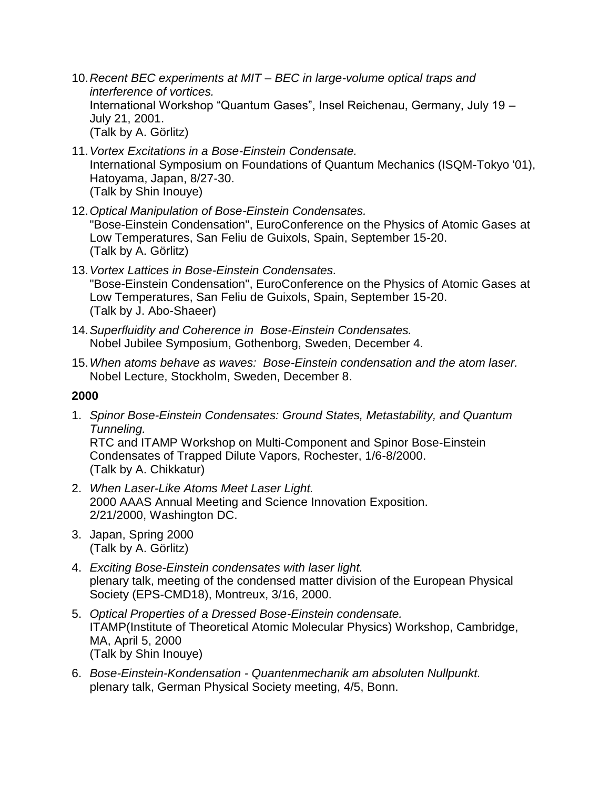- 10.*Recent BEC experiments at MIT – BEC in large-volume optical traps and interference of vortices.* International Workshop "Quantum Gases", Insel Reichenau, Germany, July 19 – July 21, 2001. (Talk by A. Görlitz)
- 11.*Vortex Excitations in a Bose-Einstein Condensate.* International Symposium on Foundations of Quantum Mechanics (ISQM-Tokyo '01), Hatoyama, Japan, 8/27-30. (Talk by Shin Inouye)
- 12.*Optical Manipulation of Bose-Einstein Condensates.* "Bose-Einstein Condensation", EuroConference on the Physics of Atomic Gases at Low Temperatures, San Feliu de Guixols, Spain, September 15-20. (Talk by A. Görlitz)
- 13.*Vortex Lattices in Bose-Einstein Condensates.* "Bose-Einstein Condensation", EuroConference on the Physics of Atomic Gases at Low Temperatures, San Feliu de Guixols, Spain, September 15-20. (Talk by J. Abo-Shaeer)
- 14.*Superfluidity and Coherence in Bose-Einstein Condensates.* Nobel Jubilee Symposium, Gothenborg, Sweden, December 4.
- 15.*When atoms behave as waves: Bose-Einstein condensation and the atom laser.* Nobel Lecture, Stockholm, Sweden, December 8.

1. *Spinor Bose-Einstein Condensates: Ground States, Metastability, and Quantum Tunneling.*

RTC and ITAMP Workshop on Multi-Component and Spinor Bose-Einstein Condensates of Trapped Dilute Vapors, Rochester, 1/6-8/2000. (Talk by A. Chikkatur)

- 2. *When Laser-Like Atoms Meet Laser Light.* 2000 AAAS Annual Meeting and Science Innovation Exposition. 2/21/2000, Washington DC.
- 3. Japan, Spring 2000 (Talk by A. Görlitz)
- 4. *Exciting Bose-Einstein condensates with laser light.* plenary talk, meeting of the condensed matter division of the European Physical Society (EPS-CMD18), Montreux, 3/16, 2000.
- 5. *Optical Properties of a Dressed Bose-Einstein condensate.* ITAMP(Institute of Theoretical Atomic Molecular Physics) Workshop, Cambridge, MA, April 5, 2000 (Talk by Shin Inouye)
- 6. *Bose-Einstein-Kondensation - Quantenmechanik am absoluten Nullpunkt.* plenary talk, German Physical Society meeting, 4/5, Bonn.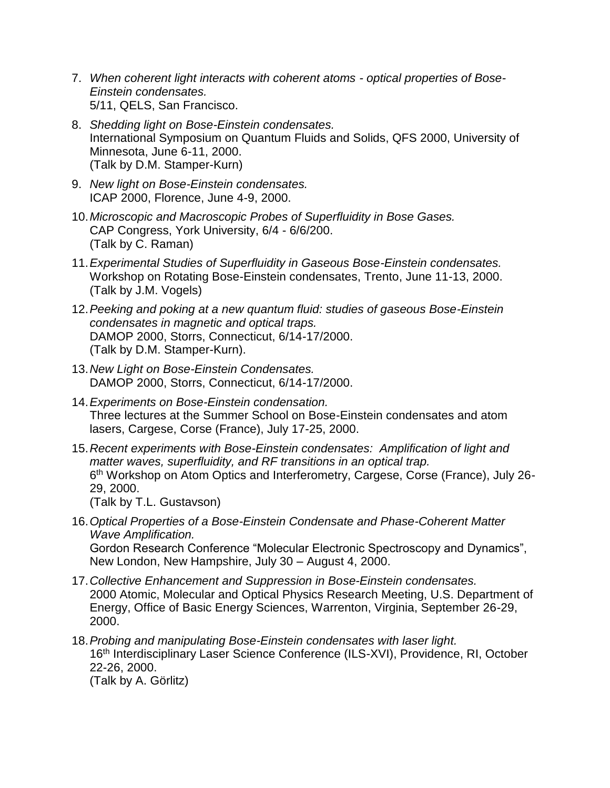- 7. *When coherent light interacts with coherent atoms - optical properties of Bose-Einstein condensates.* 5/11, QELS, San Francisco.
- 8. *Shedding light on Bose-Einstein condensates.* International Symposium on Quantum Fluids and Solids, QFS 2000, University of Minnesota, June 6-11, 2000. (Talk by D.M. Stamper-Kurn)
- 9. *New light on Bose-Einstein condensates.* ICAP 2000, Florence, June 4-9, 2000.
- 10.*Microscopic and Macroscopic Probes of Superfluidity in Bose Gases.* CAP Congress, York University, 6/4 - 6/6/200. (Talk by C. Raman)
- 11.*Experimental Studies of Superfluidity in Gaseous Bose-Einstein condensates.* Workshop on Rotating Bose-Einstein condensates, Trento, June 11-13, 2000. (Talk by J.M. Vogels)
- 12.*Peeking and poking at a new quantum fluid: studies of gaseous Bose-Einstein condensates in magnetic and optical traps.* DAMOP 2000, Storrs, Connecticut, 6/14-17/2000. (Talk by D.M. Stamper-Kurn).
- 13.*New Light on Bose-Einstein Condensates.* DAMOP 2000, Storrs, Connecticut, 6/14-17/2000.
- 14.*Experiments on Bose-Einstein condensation.* Three lectures at the Summer School on Bose-Einstein condensates and atom lasers, Cargese, Corse (France), July 17-25, 2000.
- 15.*Recent experiments with Bose-Einstein condensates: Amplification of light and matter waves, superfluidity, and RF transitions in an optical trap.* 6<sup>th</sup> Workshop on Atom Optics and Interferometry, Cargese, Corse (France), July 26-29, 2000. (Talk by T.L. Gustavson)
- 16.*Optical Properties of a Bose-Einstein Condensate and Phase-Coherent Matter Wave Amplification.* Gordon Research Conference "Molecular Electronic Spectroscopy and Dynamics", New London, New Hampshire, July 30 – August 4, 2000.
- 17.*Collective Enhancement and Suppression in Bose-Einstein condensates.* 2000 Atomic, Molecular and Optical Physics Research Meeting, U.S. Department of Energy, Office of Basic Energy Sciences, Warrenton, Virginia, September 26-29, 2000.
- 18.*Probing and manipulating Bose-Einstein condensates with laser light.* 16th Interdisciplinary Laser Science Conference (ILS-XVI), Providence, RI, October 22-26, 2000. (Talk by A. Görlitz)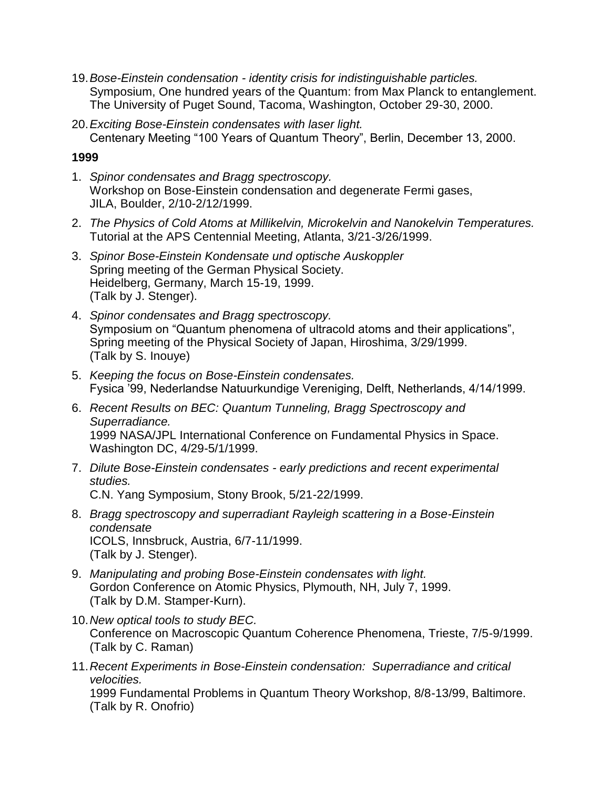- 19.*Bose-Einstein condensation - identity crisis for indistinguishable particles.* Symposium, One hundred years of the Quantum: from Max Planck to entanglement. The University of Puget Sound, Tacoma, Washington, October 29-30, 2000.
- 20.*Exciting Bose-Einstein condensates with laser light.* Centenary Meeting "100 Years of Quantum Theory", Berlin, December 13, 2000.

- 1. *Spinor condensates and Bragg spectroscopy.* Workshop on Bose-Einstein condensation and degenerate Fermi gases, JILA, Boulder, 2/10-2/12/1999.
- 2. *The Physics of Cold Atoms at Millikelvin, Microkelvin and Nanokelvin Temperatures.* Tutorial at the APS Centennial Meeting, Atlanta, 3/21-3/26/1999.
- 3. *Spinor Bose-Einstein Kondensate und optische Auskoppler*  Spring meeting of the German Physical Society. Heidelberg, Germany, March 15-19, 1999. (Talk by J. Stenger).
- 4. *Spinor condensates and Bragg spectroscopy.* Symposium on "Quantum phenomena of ultracold atoms and their applications", Spring meeting of the Physical Society of Japan, Hiroshima, 3/29/1999. (Talk by S. Inouye)
- 5. *Keeping the focus on Bose-Einstein condensates.* Fysica '99, Nederlandse Natuurkundige Vereniging, Delft, Netherlands, 4/14/1999.
- 6. *Recent Results on BEC: Quantum Tunneling, Bragg Spectroscopy and Superradiance.* 1999 NASA/JPL International Conference on Fundamental Physics in Space. Washington DC, 4/29-5/1/1999.
- 7. *Dilute Bose-Einstein condensates - early predictions and recent experimental studies.* C.N. Yang Symposium, Stony Brook, 5/21-22/1999.
- 8. *Bragg spectroscopy and superradiant Rayleigh scattering in a Bose-Einstein condensate*  ICOLS, Innsbruck, Austria, 6/7-11/1999. (Talk by J. Stenger).
- 9. *Manipulating and probing Bose-Einstein condensates with light.* Gordon Conference on Atomic Physics, Plymouth, NH, July 7, 1999. (Talk by D.M. Stamper-Kurn).
- 10.*New optical tools to study BEC.* Conference on Macroscopic Quantum Coherence Phenomena, Trieste, 7/5-9/1999. (Talk by C. Raman)
- 11.*Recent Experiments in Bose-Einstein condensation: Superradiance and critical velocities.*

1999 Fundamental Problems in Quantum Theory Workshop, 8/8-13/99, Baltimore. (Talk by R. Onofrio)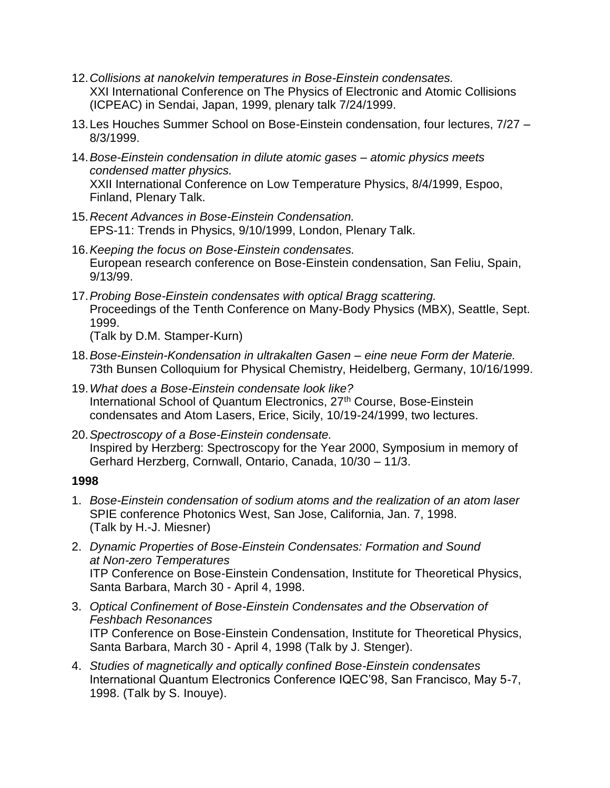- 12.*Collisions at nanokelvin temperatures in Bose-Einstein condensates.* XXI International Conference on The Physics of Electronic and Atomic Collisions (ICPEAC) in Sendai, Japan, 1999, plenary talk 7/24/1999.
- 13.Les Houches Summer School on Bose-Einstein condensation, four lectures, 7/27 8/3/1999.
- 14.*Bose-Einstein condensation in dilute atomic gases – atomic physics meets condensed matter physics.* XXII International Conference on Low Temperature Physics, 8/4/1999, Espoo, Finland, Plenary Talk.
- 15.*Recent Advances in Bose-Einstein Condensation.* EPS-11: Trends in Physics, 9/10/1999, London, Plenary Talk.
- 16.*Keeping the focus on Bose-Einstein condensates.* European research conference on Bose-Einstein condensation, San Feliu, Spain, 9/13/99.
- 17.*Probing Bose-Einstein condensates with optical Bragg scattering.* Proceedings of the Tenth Conference on Many-Body Physics (MBX), Seattle, Sept. 1999.

(Talk by D.M. Stamper-Kurn)

- 18.*Bose-Einstein-Kondensation in ultrakalten Gasen – eine neue Form der Materie.* 73th Bunsen Colloquium for Physical Chemistry, Heidelberg, Germany, 10/16/1999.
- 19.*What does a Bose-Einstein condensate look like?* International School of Quantum Electronics, 27<sup>th</sup> Course, Bose-Einstein condensates and Atom Lasers, Erice, Sicily, 10/19-24/1999, two lectures.
- 20.*Spectroscopy of a Bose-Einstein condensate.* Inspired by Herzberg: Spectroscopy for the Year 2000, Symposium in memory of Gerhard Herzberg, Cornwall, Ontario, Canada, 10/30 – 11/3.

- 1. *Bose-Einstein condensation of sodium atoms and the realization of an atom laser* SPIE conference Photonics West, San Jose, California, Jan. 7, 1998. (Talk by H.-J. Miesner)
- 2. *Dynamic Properties of Bose-Einstein Condensates: Formation and Sound at Non-zero Temperatures* ITP Conference on Bose-Einstein Condensation, Institute for Theoretical Physics, Santa Barbara, March 30 - April 4, 1998.
- 3. *Optical Confinement of Bose-Einstein Condensates and the Observation of Feshbach Resonances* ITP Conference on Bose-Einstein Condensation, Institute for Theoretical Physics, Santa Barbara, March 30 - April 4, 1998 (Talk by J. Stenger).
- 4. *Studies of magnetically and optically confined Bose-Einstein condensates* International Quantum Electronics Conference IQEC'98, San Francisco, May 5-7, 1998. (Talk by S. Inouye).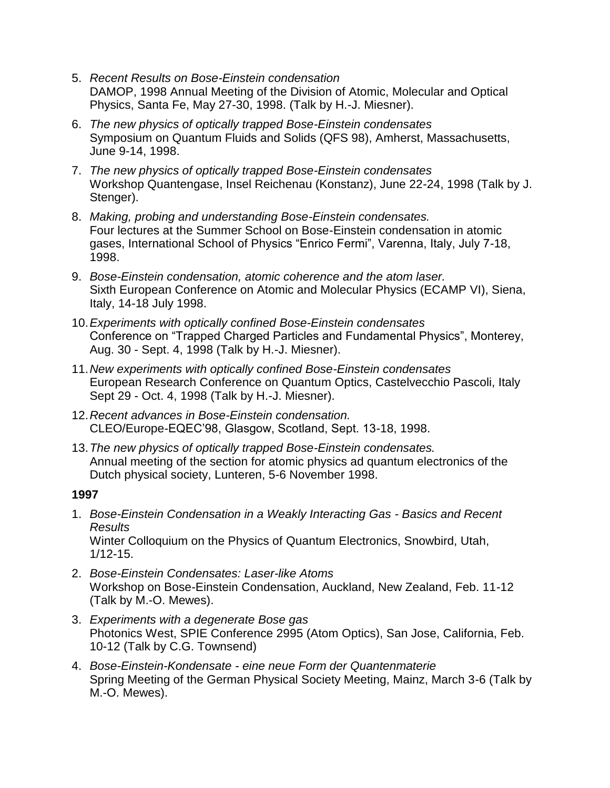- 5. *Recent Results on Bose-Einstein condensation* DAMOP, 1998 Annual Meeting of the Division of Atomic, Molecular and Optical Physics, Santa Fe, May 27-30, 1998. (Talk by H.-J. Miesner).
- 6. *The new physics of optically trapped Bose-Einstein condensates* Symposium on Quantum Fluids and Solids (QFS 98), Amherst, Massachusetts, June 9-14, 1998.
- 7. *The new physics of optically trapped Bose-Einstein condensates* Workshop Quantengase, Insel Reichenau (Konstanz), June 22-24, 1998 (Talk by J. Stenger).
- 8. *Making, probing and understanding Bose-Einstein condensates.* Four lectures at the Summer School on Bose-Einstein condensation in atomic gases, International School of Physics "Enrico Fermi", Varenna, Italy, July 7-18, 1998.
- 9. *Bose-Einstein condensation, atomic coherence and the atom laser.* Sixth European Conference on Atomic and Molecular Physics (ECAMP VI), Siena, Italy, 14-18 July 1998.
- 10.*Experiments with optically confined Bose-Einstein condensates* Conference on "Trapped Charged Particles and Fundamental Physics", Monterey, Aug. 30 - Sept. 4, 1998 (Talk by H.-J. Miesner).
- 11.*New experiments with optically confined Bose-Einstein condensates* European Research Conference on Quantum Optics, Castelvecchio Pascoli, Italy Sept 29 - Oct. 4, 1998 (Talk by H.-J. Miesner).
- 12.*Recent advances in Bose-Einstein condensation.* CLEO/Europe-EQEC'98, Glasgow, Scotland, Sept. 13-18, 1998.
- 13.*The new physics of optically trapped Bose-Einstein condensates.* Annual meeting of the section for atomic physics ad quantum electronics of the Dutch physical society, Lunteren, 5-6 November 1998.

- 1. *Bose-Einstein Condensation in a Weakly Interacting Gas - Basics and Recent Results* Winter Colloquium on the Physics of Quantum Electronics, Snowbird, Utah, 1/12-15.
- 2. *Bose-Einstein Condensates: Laser-like Atoms* Workshop on Bose-Einstein Condensation, Auckland, New Zealand, Feb. 11-12 (Talk by M.-O. Mewes).
- 3. *Experiments with a degenerate Bose gas* Photonics West, SPIE Conference 2995 (Atom Optics), San Jose, California, Feb. 10-12 (Talk by C.G. Townsend)
- 4. *Bose-Einstein-Kondensate - eine neue Form der Quantenmaterie* Spring Meeting of the German Physical Society Meeting, Mainz, March 3-6 (Talk by M.-O. Mewes).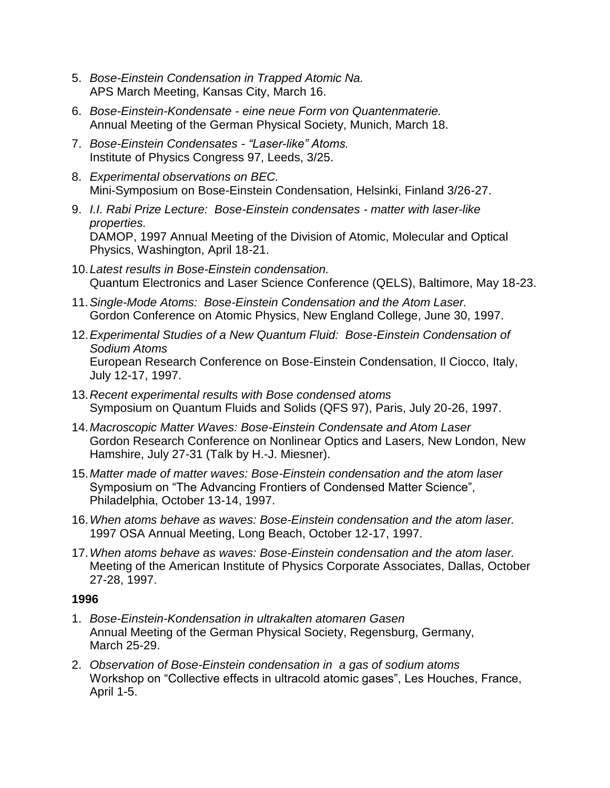- 5. *Bose-Einstein Condensation in Trapped Atomic Na.* APS March Meeting, Kansas City, March 16.
- 6. *Bose-Einstein-Kondensate - eine neue Form von Quantenmaterie.* Annual Meeting of the German Physical Society, Munich, March 18.
- 7. *Bose-Einstein Condensates - "Laser-like" Atoms.* Institute of Physics Congress 97, Leeds, 3/25.
- 8. *Experimental observations on BEC.* Mini-Symposium on Bose-Einstein Condensation, Helsinki, Finland 3/26-27.
- 9. *I.I. Rabi Prize Lecture: Bose-Einstein condensates - matter with laser-like properties.* DAMOP, 1997 Annual Meeting of the Division of Atomic, Molecular and Optical Physics, Washington, April 18-21.
- 10.*Latest results in Bose-Einstein condensation.* Quantum Electronics and Laser Science Conference (QELS), Baltimore, May 18-23.
- 11.*Single-Mode Atoms: Bose-Einstein Condensation and the Atom Laser.* Gordon Conference on Atomic Physics, New England College, June 30, 1997.
- 12.*Experimental Studies of a New Quantum Fluid: Bose-Einstein Condensation of Sodium Atoms* European Research Conference on Bose-Einstein Condensation, Il Ciocco, Italy, July 12-17, 1997.
- 13.*Recent experimental results with Bose condensed atoms* Symposium on Quantum Fluids and Solids (QFS 97), Paris, July 20-26, 1997.
- 14.*Macroscopic Matter Waves: Bose-Einstein Condensate and Atom Laser* Gordon Research Conference on Nonlinear Optics and Lasers, New London, New Hamshire, July 27-31 (Talk by H.-J. Miesner).
- 15.*Matter made of matter waves: Bose-Einstein condensation and the atom laser* Symposium on "The Advancing Frontiers of Condensed Matter Science", Philadelphia, October 13-14, 1997.
- 16.*When atoms behave as waves: Bose-Einstein condensation and the atom laser.* 1997 OSA Annual Meeting, Long Beach, October 12-17, 1997.
- 17.*When atoms behave as waves: Bose-Einstein condensation and the atom laser.* Meeting of the American Institute of Physics Corporate Associates, Dallas, October 27-28, 1997.

- 1. *Bose-Einstein-Kondensation in ultrakalten atomaren Gasen* Annual Meeting of the German Physical Society, Regensburg, Germany, March 25-29.
- 2. *Observation of Bose-Einstein condensation in a gas of sodium atoms* Workshop on "Collective effects in ultracold atomic gases", Les Houches, France, April 1-5.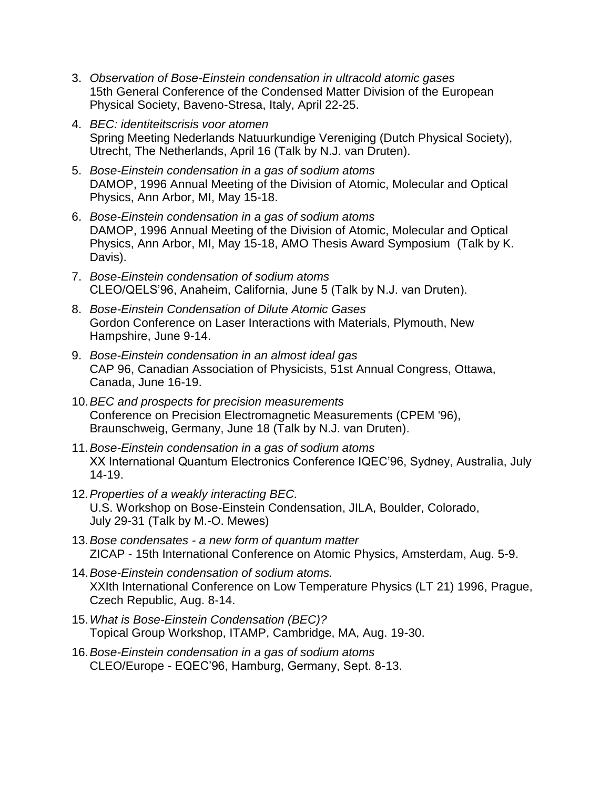- 3. *Observation of Bose-Einstein condensation in ultracold atomic gases* 15th General Conference of the Condensed Matter Division of the European Physical Society, Baveno-Stresa, Italy, April 22-25.
- 4. *BEC: identiteitscrisis voor atomen* Spring Meeting Nederlands Natuurkundige Vereniging (Dutch Physical Society), Utrecht, The Netherlands, April 16 (Talk by N.J. van Druten).
- 5. *Bose-Einstein condensation in a gas of sodium atoms* DAMOP, 1996 Annual Meeting of the Division of Atomic, Molecular and Optical Physics, Ann Arbor, MI, May 15-18.
- 6. *Bose-Einstein condensation in a gas of sodium atoms* DAMOP, 1996 Annual Meeting of the Division of Atomic, Molecular and Optical Physics, Ann Arbor, MI, May 15-18, AMO Thesis Award Symposium (Talk by K. Davis).
- 7. *Bose-Einstein condensation of sodium atoms* CLEO/QELS'96, Anaheim, California, June 5 (Talk by N.J. van Druten).
- 8. *Bose-Einstein Condensation of Dilute Atomic Gases* Gordon Conference on Laser Interactions with Materials, Plymouth, New Hampshire, June 9-14.
- 9. *Bose-Einstein condensation in an almost ideal gas* CAP 96, Canadian Association of Physicists, 51st Annual Congress, Ottawa, Canada, June 16-19.
- 10.*BEC and prospects for precision measurements* Conference on Precision Electromagnetic Measurements (CPEM '96), Braunschweig, Germany, June 18 (Talk by N.J. van Druten).
- 11.*Bose-Einstein condensation in a gas of sodium atoms* XX International Quantum Electronics Conference IQEC'96, Sydney, Australia, July 14-19.
- 12.*Properties of a weakly interacting BEC.* U.S. Workshop on Bose-Einstein Condensation, JILA, Boulder, Colorado, July 29-31 (Talk by M.-O. Mewes)
- 13.*Bose condensates - a new form of quantum matter*  ZICAP - 15th International Conference on Atomic Physics, Amsterdam, Aug. 5-9.
- 14.*Bose-Einstein condensation of sodium atoms.* XXIth International Conference on Low Temperature Physics (LT 21) 1996, Prague, Czech Republic, Aug. 8-14.
- 15.*What is Bose-Einstein Condensation (BEC)?* Topical Group Workshop, ITAMP, Cambridge, MA, Aug. 19-30.
- 16.*Bose-Einstein condensation in a gas of sodium atoms* CLEO/Europe - EQEC'96, Hamburg, Germany, Sept. 8-13.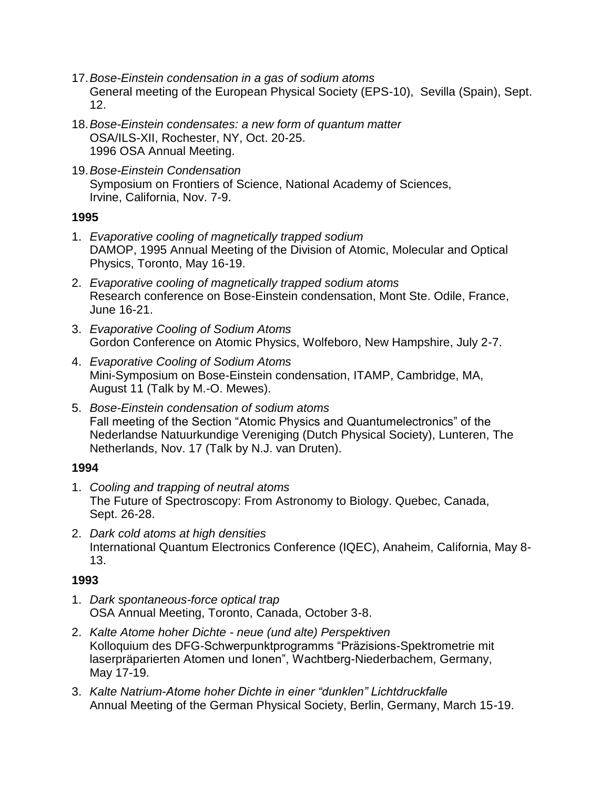- 17.*Bose-Einstein condensation in a gas of sodium atoms* General meeting of the European Physical Society (EPS-10), Sevilla (Spain), Sept. 12.
- 18.*Bose-Einstein condensates: a new form of quantum matter* OSA/ILS-XII, Rochester, NY, Oct. 20-25. 1996 OSA Annual Meeting.
- 19.*Bose-Einstein Condensation* Symposium on Frontiers of Science, National Academy of Sciences, Irvine, California, Nov. 7-9.

- 1. *Evaporative cooling of magnetically trapped sodium* DAMOP, 1995 Annual Meeting of the Division of Atomic, Molecular and Optical Physics, Toronto, May 16-19.
- 2. *Evaporative cooling of magnetically trapped sodium atoms* Research conference on Bose-Einstein condensation, Mont Ste. Odile, France, June 16-21.
- 3. *Evaporative Cooling of Sodium Atoms* Gordon Conference on Atomic Physics, Wolfeboro, New Hampshire, July 2-7.
- 4. *Evaporative Cooling of Sodium Atoms* Mini-Symposium on Bose-Einstein condensation, ITAMP, Cambridge, MA, August 11 (Talk by M.-O. Mewes).
- 5. *Bose-Einstein condensation of sodium atoms* Fall meeting of the Section "Atomic Physics and Quantumelectronics" of the Nederlandse Natuurkundige Vereniging (Dutch Physical Society), Lunteren, The Netherlands, Nov. 17 (Talk by N.J. van Druten).

## **1994**

- 1. *Cooling and trapping of neutral atoms* The Future of Spectroscopy: From Astronomy to Biology. Quebec, Canada, Sept. 26-28.
- 2. *Dark cold atoms at high densities* International Quantum Electronics Conference (IQEC), Anaheim, California, May 8- 13.

- 1. *Dark spontaneous-force optical trap*  OSA Annual Meeting, Toronto, Canada, October 3-8.
- 2. *Kalte Atome hoher Dichte - neue (und alte) Perspektiven* Kolloquium des DFG-Schwerpunktprogramms "Präzisions-Spektrometrie mit laserpräparierten Atomen und Ionen", Wachtberg-Niederbachem, Germany, May 17-19.
- 3. *Kalte Natrium-Atome hoher Dichte in einer "dunklen" Lichtdruckfalle* Annual Meeting of the German Physical Society, Berlin, Germany, March 15-19.